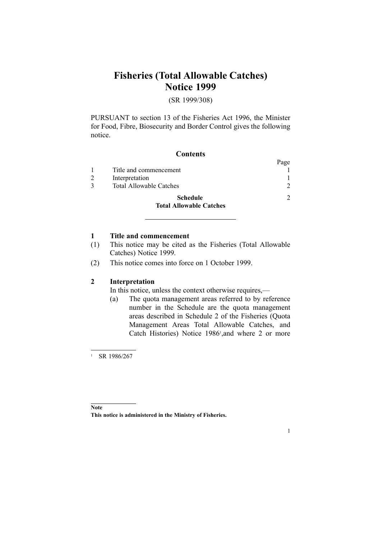## **Fisheries (Total Allowable Catches) Notice 1999**

### (SR 1999/308)

PURSUANT to section [13](http://www.legislation.govt.nz/pdfLink.aspx?id=DLM395507) of the [Fisheries](http://www.legislation.govt.nz/pdfLink.aspx?id=DLM394191) Act 1996, the Minister for Food, Fibre, Biosecurity and Border Control gives the following notice.

#### **Contents**

|                                | Page |
|--------------------------------|------|
| Title and commencement         |      |
| Interpretation                 |      |
| <b>Total Allowable Catches</b> | C    |
| Schedule                       | っ    |
| <b>Total Allowable Catches</b> |      |

#### **1 Title and commencement**

- (1) This notice may be cited as the Fisheries (Total Allowable Catches) Notice 1999.
- (2) This notice comes into force on 1 October 1999.

#### **2 Interpretation**

In this notice, unless the context otherwise requires,—

(a) The quota managemen<sup>t</sup> areas referred to by reference number in the Schedule are the quota managemen<sup>t</sup> areas described in Schedule [2](http://www.legislation.govt.nz/pdfLink.aspx?id=DLM117058) of the [Fisheries](http://www.legislation.govt.nz/pdfLink.aspx?id=DLM116139) (Quota [Management](http://www.legislation.govt.nz/pdfLink.aspx?id=DLM116139) Areas Total Allowable Catches, and Catch [Histories\)](http://www.legislation.govt.nz/pdfLink.aspx?id=DLM116139) Notice 1986<sup>1</sup>, and where 2 or more

<sup>1</sup> SR 1986/267

1

**Note This notice is administered in the Ministry of Fisheries.**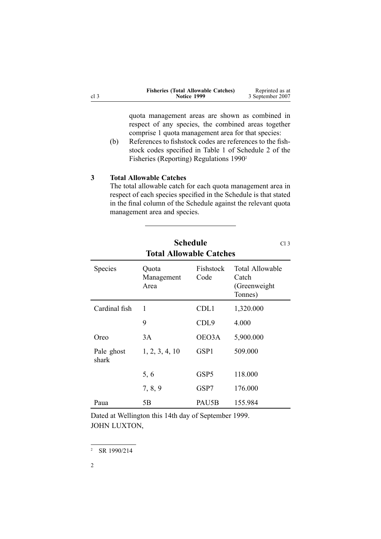<span id="page-1-0"></span>

|      | <b>Fisheries (Total Allowable Catches)</b> | Reprinted as at  |
|------|--------------------------------------------|------------------|
| cl 3 | Notice 1999                                | 3 September 2007 |

quota managemen<sup>t</sup> areas are shown as combined in respec<sup>t</sup> of any species, the combined areas together comprise 1 quota managemen<sup>t</sup> area for that species:

(b) References to fishstock codes are references to the fishstock codes specified in Table 1 of Schedule 2 of the Fisheries (Reporting) Regulations 1990<sup>2</sup>

#### **3 Total Allowable Catches**

The total allowable catch for each quota managemen<sup>t</sup> area in respec<sup>t</sup> of each species specified in the Schedule is that stated in the final column of the Schedule against the relevant quota managemen<sup>t</sup> area and species.

| <b>Total Allowable Catches</b> |                             |                   |                                                             |  |
|--------------------------------|-----------------------------|-------------------|-------------------------------------------------------------|--|
| Species                        | Quota<br>Management<br>Area | Fishstock<br>Code | <b>Total Allowable</b><br>Catch<br>(Greenweight)<br>Tonnes) |  |
| Cardinal fish                  | 1                           | CDL1              | 1,320.000                                                   |  |
|                                | 9                           | CDL <sub>9</sub>  | 4.000                                                       |  |
| Oreo                           | 3A                          | OEO3A             | 5,900.000                                                   |  |
| Pale ghost<br>shark            | 1, 2, 3, 4, 10              | GSP1              | 509.000                                                     |  |
|                                | 5, 6                        | GSP5              | 118.000                                                     |  |
|                                | 7, 8, 9                     | GSP7              | 176.000                                                     |  |
| Paua                           | 5B                          | PAU5B             | 155.984                                                     |  |

# **Schedule** Cl<sub>3</sub>

Dated at Wellington this 14th day of September 1999. JOHN LUXTON,

<sup>2</sup> SR 1990/214